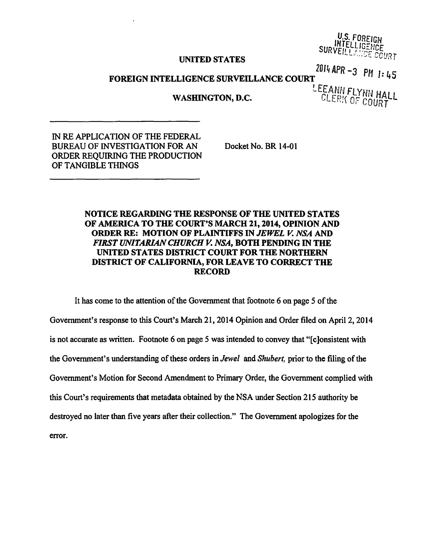## UNITED STATES

U.S. FOREIGN **INTELLIGENCE** SURVEILLANDE COURT

## FOREIGN INTELLIGENCE SURVEILLANCE COURT<sup>2014</sup> APR -3 PH 1: 45

*LEfA\_Nf! FLyNU* HALL WASHINGTON, D.C. **EXAMPLE BELLEVING** OF COURT

IN RE APPLICATION OF THE FEDERAL BUREAU OF INVESTIGATION FOR AN ORDER REQUIRING THE PRODUCTION OF TANGIBLE THINGS

Docket No. BR 14-01

## NOTICE REGARDING THE RESPONSE OF THE UNITED STATES OF AMERICA TO THE COURT'S MARCH 21, 2014, OPINION AND ORDER RE: MOTION OF PLAINTIFFS IN *JEWEL V. NSA* AND *FIRST UNITARIAN CHURCH V. NSA,* BOTH PENDING IN THE UNITED STATES DISTRICT COURT FOR THE NORTHERN DISTRICT OF CALIFORNIA, FOR LEA VE TO CORRECT THE RECORD

It has come to the attention of the Government that footnote 6 on page 5 of the Government's response to this Court's March 21, 2014 Opinion and Order filed on April 2, 2014 is not accurate as written. Footnote 6 on page 5 was intended to convey that "[c)onsistent with the Government's understanding of these orders in *Jewel* and *Shubert,* prior to the filing of the Government's Motion for Second Amendment to Primary Order, the Government complied with this Court's requirements that metadata obtained by the NSA under Section 215 authority be destroyed no later than five years after their collection." The Government apologizes for the error.